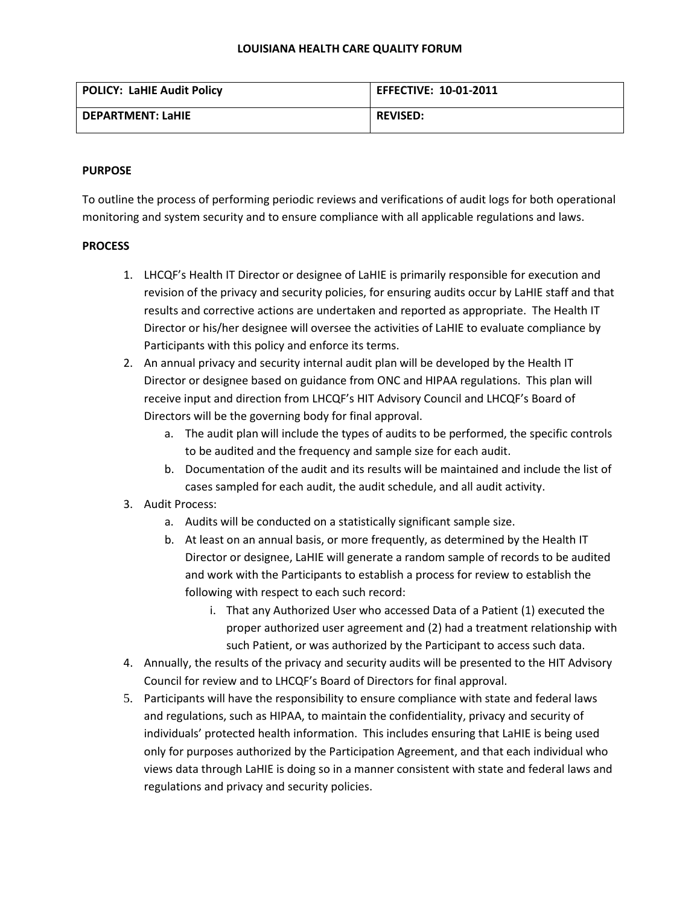## **LOUISIANA HEALTH CARE QUALITY FORUM**

| <b>POLICY: LaHIE Audit Policy</b> | <b>EFFECTIVE: 10-01-2011</b> |
|-----------------------------------|------------------------------|
| DEPARTMENT: LaHIE                 | <b>REVISED:</b>              |

## **PURPOSE**

To outline the process of performing periodic reviews and verifications of audit logs for both operational monitoring and system security and to ensure compliance with all applicable regulations and laws.

## **PROCESS**

- 1. LHCQF's Health IT Director or designee of LaHIE is primarily responsible for execution and revision of the privacy and security policies, for ensuring audits occur by LaHIE staff and that results and corrective actions are undertaken and reported as appropriate. The Health IT Director or his/her designee will oversee the activities of LaHIE to evaluate compliance by Participants with this policy and enforce its terms.
- 2. An annual privacy and security internal audit plan will be developed by the Health IT Director or designee based on guidance from ONC and HIPAA regulations. This plan will receive input and direction from LHCQF's HIT Advisory Council and LHCQF's Board of Directors will be the governing body for final approval.
	- a. The audit plan will include the types of audits to be performed, the specific controls to be audited and the frequency and sample size for each audit.
	- b. Documentation of the audit and its results will be maintained and include the list of cases sampled for each audit, the audit schedule, and all audit activity.
- 3. Audit Process:
	- a. Audits will be conducted on a statistically significant sample size.
	- b. At least on an annual basis, or more frequently, as determined by the Health IT Director or designee, LaHIE will generate a random sample of records to be audited and work with the Participants to establish a process for review to establish the following with respect to each such record:
		- i. That any Authorized User who accessed Data of a Patient (1) executed the proper authorized user agreement and (2) had a treatment relationship with such Patient, or was authorized by the Participant to access such data.
- 4. Annually, the results of the privacy and security audits will be presented to the HIT Advisory Council for review and to LHCQF's Board of Directors for final approval.
- 5. Participants will have the responsibility to ensure compliance with state and federal laws and regulations, such as HIPAA, to maintain the confidentiality, privacy and security of individuals' protected health information. This includes ensuring that LaHIE is being used only for purposes authorized by the Participation Agreement, and that each individual who views data through LaHIE is doing so in a manner consistent with state and federal laws and regulations and privacy and security policies.